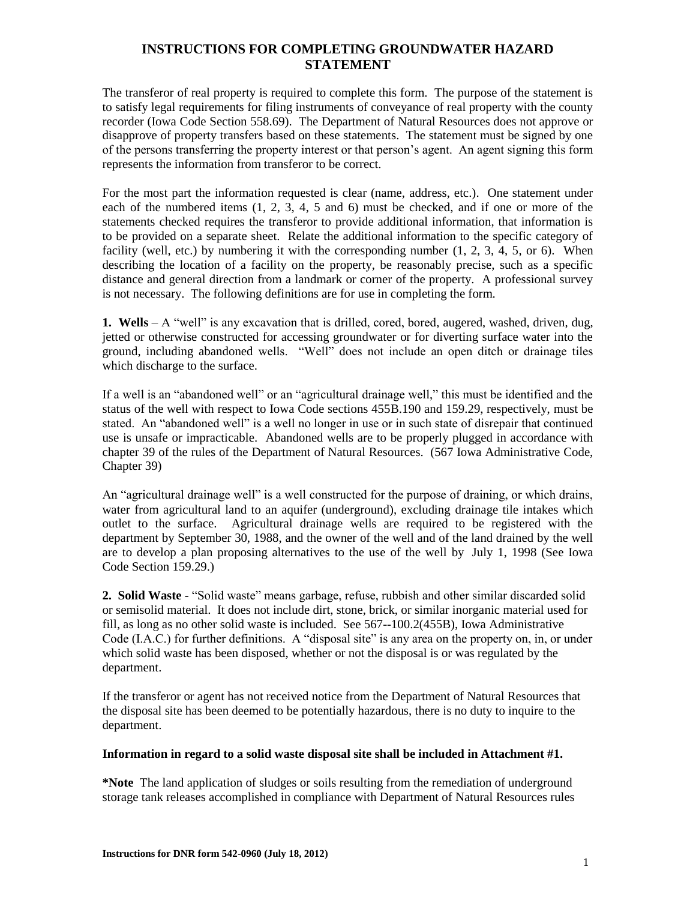# **INSTRUCTIONS FOR COMPLETING GROUNDWATER HAZARD STATEMENT**

The transferor of real property is required to complete this form. The purpose of the statement is to satisfy legal requirements for filing instruments of conveyance of real property with the county recorder (Iowa Code Section 558.69). The Department of Natural Resources does not approve or disapprove of property transfers based on these statements. The statement must be signed by one of the persons transferring the property interest or that person's agent. An agent signing this form represents the information from transferor to be correct.

For the most part the information requested is clear (name, address, etc.). One statement under each of the numbered items (1, 2, 3, 4, 5 and 6) must be checked, and if one or more of the statements checked requires the transferor to provide additional information, that information is to be provided on a separate sheet. Relate the additional information to the specific category of facility (well, etc.) by numbering it with the corresponding number  $(1, 2, 3, 4, 5, 0, 6)$ . When describing the location of a facility on the property, be reasonably precise, such as a specific distance and general direction from a landmark or corner of the property. A professional survey is not necessary. The following definitions are for use in completing the form.

**1. Wells** – A "well" is any excavation that is drilled, cored, bored, augered, washed, driven, dug, jetted or otherwise constructed for accessing groundwater or for diverting surface water into the ground, including abandoned wells. "Well" does not include an open ditch or drainage tiles which discharge to the surface.

If a well is an "abandoned well" or an "agricultural drainage well," this must be identified and the status of the well with respect to Iowa Code sections 455B.190 and 159.29, respectively, must be stated. An "abandoned well" is a well no longer in use or in such state of disrepair that continued use is unsafe or impracticable. Abandoned wells are to be properly plugged in accordance with chapter 39 of the rules of the Department of Natural Resources. (567 Iowa Administrative Code, Chapter 39)

An "agricultural drainage well" is a well constructed for the purpose of draining, or which drains, water from agricultural land to an aquifer (underground), excluding drainage tile intakes which outlet to the surface. Agricultural drainage wells are required to be registered with the department by September 30, 1988, and the owner of the well and of the land drained by the well are to develop a plan proposing alternatives to the use of the well by July 1, 1998 (See Iowa Code Section 159.29.)

**2. Solid Waste** - "Solid waste" means garbage, refuse, rubbish and other similar discarded solid or semisolid material. It does not include dirt, stone, brick, or similar inorganic material used for fill, as long as no other solid waste is included. See 567--100.2(455B), Iowa Administrative Code (I.A.C.) for further definitions. A "disposal site" is any area on the property on, in, or under which solid waste has been disposed, whether or not the disposal is or was regulated by the department.

If the transferor or agent has not received notice from the Department of Natural Resources that the disposal site has been deemed to be potentially hazardous, there is no duty to inquire to the department.

### **Information in regard to a solid waste disposal site shall be included in Attachment #1.**

**\*Note** The land application of sludges or soils resulting from the remediation of underground storage tank releases accomplished in compliance with Department of Natural Resources rules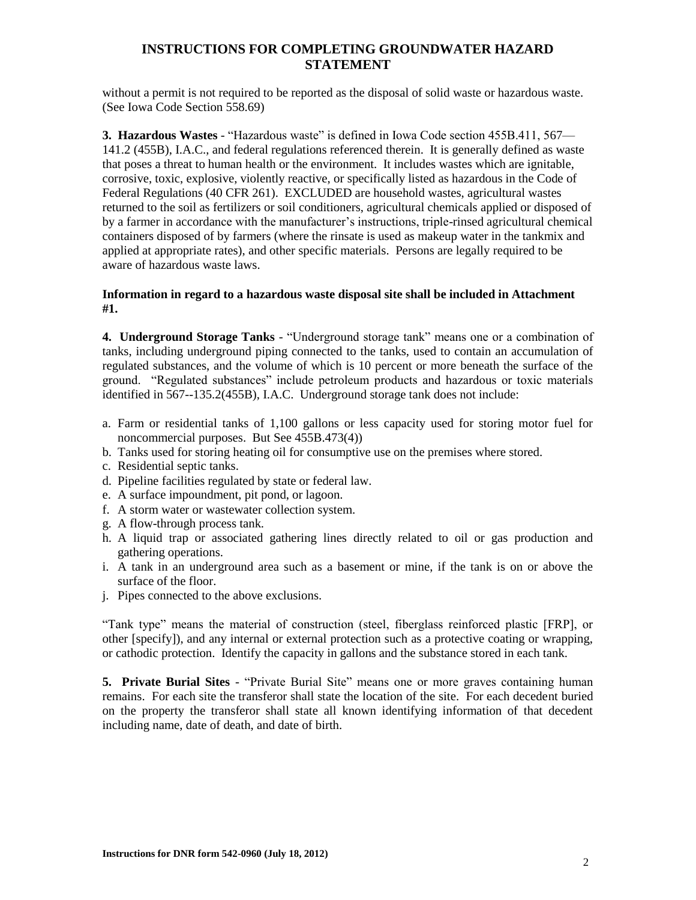# **INSTRUCTIONS FOR COMPLETING GROUNDWATER HAZARD STATEMENT**

without a permit is not required to be reported as the disposal of solid waste or hazardous waste. (See Iowa Code Section 558.69)

**3. Hazardous Wastes** - "Hazardous waste" is defined in Iowa Code section 455B.411, 567— 141.2 (455B), I.A.C., and federal regulations referenced therein. It is generally defined as waste that poses a threat to human health or the environment. It includes wastes which are ignitable, corrosive, toxic, explosive, violently reactive, or specifically listed as hazardous in the Code of Federal Regulations (40 CFR 261). EXCLUDED are household wastes, agricultural wastes returned to the soil as fertilizers or soil conditioners, agricultural chemicals applied or disposed of by a farmer in accordance with the manufacturer's instructions, triple-rinsed agricultural chemical containers disposed of by farmers (where the rinsate is used as makeup water in the tankmix and applied at appropriate rates), and other specific materials. Persons are legally required to be aware of hazardous waste laws.

### **Information in regard to a hazardous waste disposal site shall be included in Attachment #1.**

**4. Underground Storage Tanks** - "Underground storage tank" means one or a combination of tanks, including underground piping connected to the tanks, used to contain an accumulation of regulated substances, and the volume of which is 10 percent or more beneath the surface of the ground. "Regulated substances" include petroleum products and hazardous or toxic materials identified in 567--135.2(455B), I.A.C. Underground storage tank does not include:

- a. Farm or residential tanks of 1,100 gallons or less capacity used for storing motor fuel for noncommercial purposes. But See 455B.473(4))
- b. Tanks used for storing heating oil for consumptive use on the premises where stored.
- c. Residential septic tanks.
- d. Pipeline facilities regulated by state or federal law.
- e. A surface impoundment, pit pond, or lagoon.
- f. A storm water or wastewater collection system.
- g. A flow-through process tank.
- h. A liquid trap or associated gathering lines directly related to oil or gas production and gathering operations.
- i. A tank in an underground area such as a basement or mine, if the tank is on or above the surface of the floor.
- j. Pipes connected to the above exclusions.

"Tank type" means the material of construction (steel, fiberglass reinforced plastic [FRP], or other [specify]), and any internal or external protection such as a protective coating or wrapping, or cathodic protection. Identify the capacity in gallons and the substance stored in each tank.

**5. Private Burial Sites** - "Private Burial Site" means one or more graves containing human remains. For each site the transferor shall state the location of the site. For each decedent buried on the property the transferor shall state all known identifying information of that decedent including name, date of death, and date of birth.